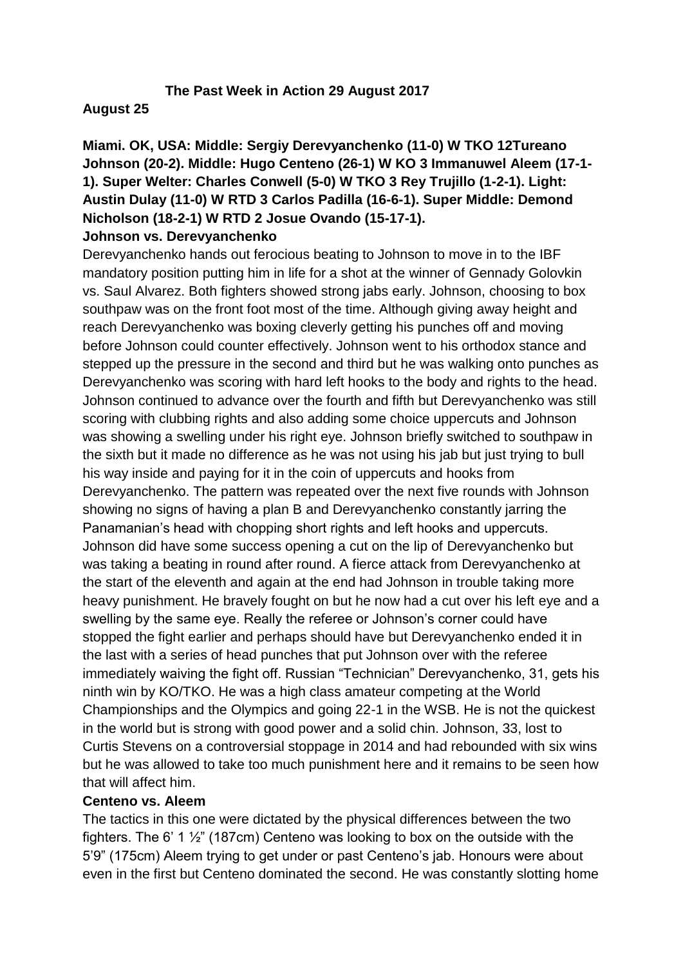## **The Past Week in Action 29 August 2017**

#### **August 25**

## **Miami. OK, USA: Middle: Sergiy Derevyanchenko (11-0) W TKO 12Tureano Johnson (20-2). Middle: Hugo Centeno (26-1) W KO 3 Immanuwel Aleem (17-1- 1). Super Welter: Charles Conwell (5-0) W TKO 3 Rey Trujillo (1-2-1). Light: Austin Dulay (11-0) W RTD 3 Carlos Padilla (16-6-1). Super Middle: Demond Nicholson (18-2-1) W RTD 2 Josue Ovando (15-17-1). Johnson vs. Derevyanchenko**

Derevyanchenko hands out ferocious beating to Johnson to move in to the IBF mandatory position putting him in life for a shot at the winner of Gennady Golovkin vs. Saul Alvarez. Both fighters showed strong jabs early. Johnson, choosing to box southpaw was on the front foot most of the time. Although giving away height and reach Derevyanchenko was boxing cleverly getting his punches off and moving before Johnson could counter effectively. Johnson went to his orthodox stance and stepped up the pressure in the second and third but he was walking onto punches as Derevyanchenko was scoring with hard left hooks to the body and rights to the head. Johnson continued to advance over the fourth and fifth but Derevyanchenko was still scoring with clubbing rights and also adding some choice uppercuts and Johnson was showing a swelling under his right eye. Johnson briefly switched to southpaw in the sixth but it made no difference as he was not using his jab but just trying to bull his way inside and paying for it in the coin of uppercuts and hooks from Derevyanchenko. The pattern was repeated over the next five rounds with Johnson showing no signs of having a plan B and Derevyanchenko constantly jarring the Panamanian's head with chopping short rights and left hooks and uppercuts. Johnson did have some success opening a cut on the lip of Derevyanchenko but was taking a beating in round after round. A fierce attack from Derevyanchenko at the start of the eleventh and again at the end had Johnson in trouble taking more heavy punishment. He bravely fought on but he now had a cut over his left eye and a swelling by the same eye. Really the referee or Johnson's corner could have stopped the fight earlier and perhaps should have but Derevyanchenko ended it in the last with a series of head punches that put Johnson over with the referee immediately waiving the fight off. Russian "Technician" Derevyanchenko, 31, gets his ninth win by KO/TKO. He was a high class amateur competing at the World Championships and the Olympics and going 22-1 in the WSB. He is not the quickest in the world but is strong with good power and a solid chin. Johnson, 33, lost to Curtis Stevens on a controversial stoppage in 2014 and had rebounded with six wins but he was allowed to take too much punishment here and it remains to be seen how that will affect him.

#### **Centeno vs. Aleem**

The tactics in this one were dictated by the physical differences between the two fighters. The 6' 1 ½" (187cm) Centeno was looking to box on the outside with the 5'9" (175cm) Aleem trying to get under or past Centeno's jab. Honours were about even in the first but Centeno dominated the second. He was constantly slotting home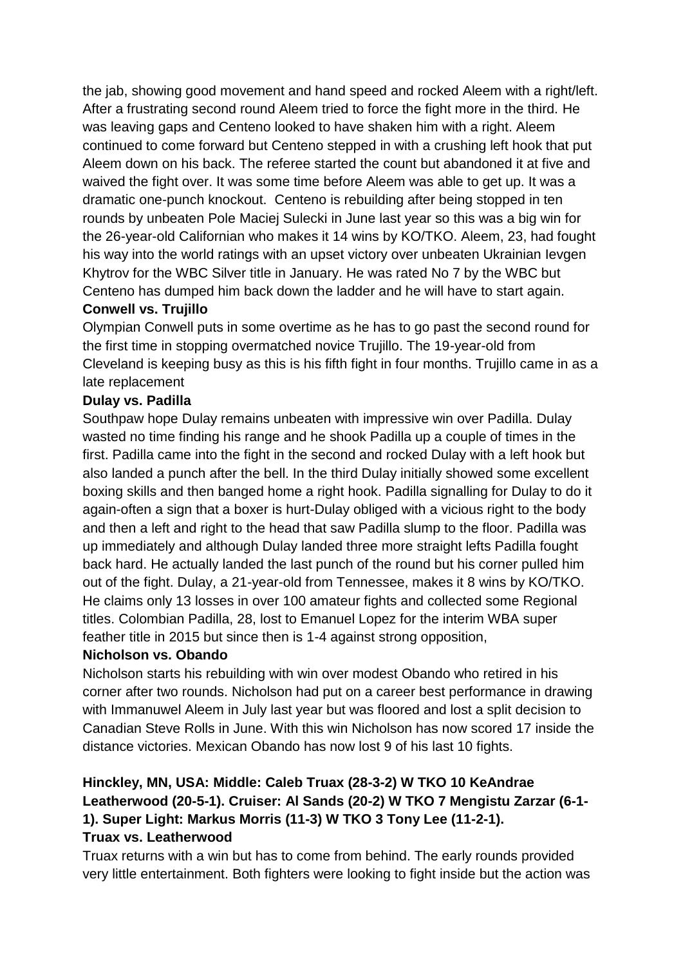the jab, showing good movement and hand speed and rocked Aleem with a right/left. After a frustrating second round Aleem tried to force the fight more in the third. He was leaving gaps and Centeno looked to have shaken him with a right. Aleem continued to come forward but Centeno stepped in with a crushing left hook that put Aleem down on his back. The referee started the count but abandoned it at five and waived the fight over. It was some time before Aleem was able to get up. It was a dramatic one-punch knockout. Centeno is rebuilding after being stopped in ten rounds by unbeaten Pole Maciej Sulecki in June last year so this was a big win for the 26-year-old Californian who makes it 14 wins by KO/TKO. Aleem, 23, had fought his way into the world ratings with an upset victory over unbeaten Ukrainian Ievgen Khytrov for the WBC Silver title in January. He was rated No 7 by the WBC but Centeno has dumped him back down the ladder and he will have to start again.

## **Conwell vs. Trujillo**

Olympian Conwell puts in some overtime as he has to go past the second round for the first time in stopping overmatched novice Trujillo. The 19-year-old from Cleveland is keeping busy as this is his fifth fight in four months. Trujillo came in as a late replacement

#### **Dulay vs. Padilla**

Southpaw hope Dulay remains unbeaten with impressive win over Padilla. Dulay wasted no time finding his range and he shook Padilla up a couple of times in the first. Padilla came into the fight in the second and rocked Dulay with a left hook but also landed a punch after the bell. In the third Dulay initially showed some excellent boxing skills and then banged home a right hook. Padilla signalling for Dulay to do it again-often a sign that a boxer is hurt-Dulay obliged with a vicious right to the body and then a left and right to the head that saw Padilla slump to the floor. Padilla was up immediately and although Dulay landed three more straight lefts Padilla fought back hard. He actually landed the last punch of the round but his corner pulled him out of the fight. Dulay, a 21-year-old from Tennessee, makes it 8 wins by KO/TKO. He claims only 13 losses in over 100 amateur fights and collected some Regional titles. Colombian Padilla, 28, lost to Emanuel Lopez for the interim WBA super feather title in 2015 but since then is 1-4 against strong opposition,

#### **Nicholson vs. Obando**

Nicholson starts his rebuilding with win over modest Obando who retired in his corner after two rounds. Nicholson had put on a career best performance in drawing with Immanuwel Aleem in July last year but was floored and lost a split decision to Canadian Steve Rolls in June. With this win Nicholson has now scored 17 inside the distance victories. Mexican Obando has now lost 9 of his last 10 fights.

## **Hinckley, MN, USA: Middle: Caleb Truax (28-3-2) W TKO 10 KeAndrae Leatherwood (20-5-1). Cruiser: Al Sands (20-2) W TKO 7 Mengistu Zarzar (6-1- 1). Super Light: Markus Morris (11-3) W TKO 3 Tony Lee (11-2-1). Truax vs. Leatherwood**

Truax returns with a win but has to come from behind. The early rounds provided very little entertainment. Both fighters were looking to fight inside but the action was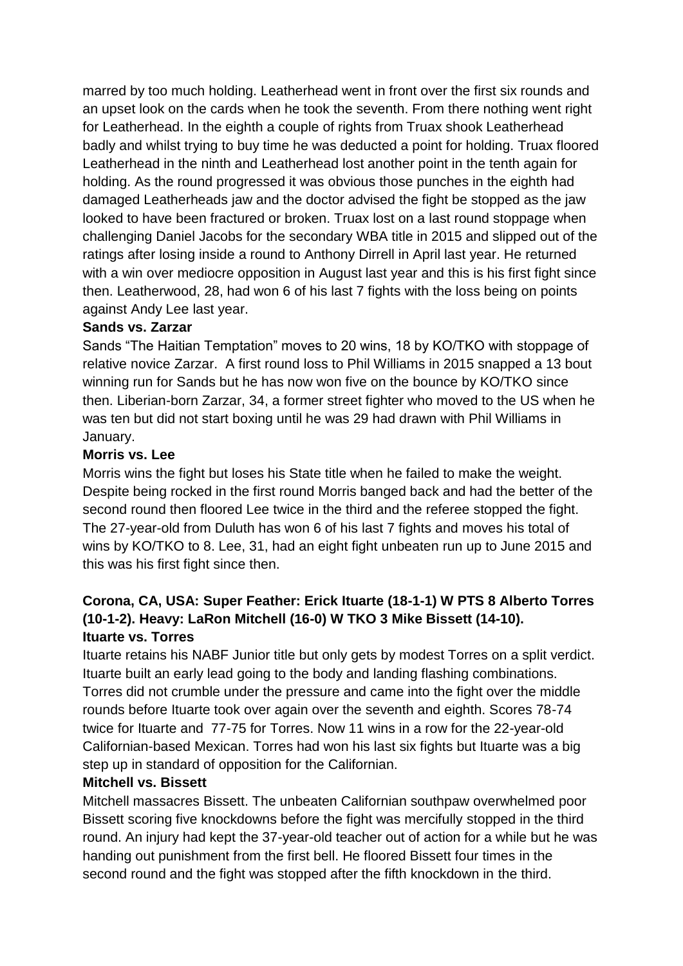marred by too much holding. Leatherhead went in front over the first six rounds and an upset look on the cards when he took the seventh. From there nothing went right for Leatherhead. In the eighth a couple of rights from Truax shook Leatherhead badly and whilst trying to buy time he was deducted a point for holding. Truax floored Leatherhead in the ninth and Leatherhead lost another point in the tenth again for holding. As the round progressed it was obvious those punches in the eighth had damaged Leatherheads jaw and the doctor advised the fight be stopped as the jaw looked to have been fractured or broken. Truax lost on a last round stoppage when challenging Daniel Jacobs for the secondary WBA title in 2015 and slipped out of the ratings after losing inside a round to Anthony Dirrell in April last year. He returned with a win over mediocre opposition in August last year and this is his first fight since then. Leatherwood, 28, had won 6 of his last 7 fights with the loss being on points against Andy Lee last year.

## **Sands vs. Zarzar**

Sands "The Haitian Temptation" moves to 20 wins, 18 by KO/TKO with stoppage of relative novice Zarzar. A first round loss to Phil Williams in 2015 snapped a 13 bout winning run for Sands but he has now won five on the bounce by KO/TKO since then. Liberian-born Zarzar, 34, a former street fighter who moved to the US when he was ten but did not start boxing until he was 29 had drawn with Phil Williams in January.

#### **Morris vs. Lee**

Morris wins the fight but loses his State title when he failed to make the weight. Despite being rocked in the first round Morris banged back and had the better of the second round then floored Lee twice in the third and the referee stopped the fight. The 27-year-old from Duluth has won 6 of his last 7 fights and moves his total of wins by KO/TKO to 8. Lee, 31, had an eight fight unbeaten run up to June 2015 and this was his first fight since then.

## **Corona, CA, USA: Super Feather: Erick Ituarte (18-1-1) W PTS 8 Alberto Torres (10-1-2). Heavy: LaRon Mitchell (16-0) W TKO 3 Mike Bissett (14-10). Ituarte vs. Torres**

Ituarte retains his NABF Junior title but only gets by modest Torres on a split verdict. Ituarte built an early lead going to the body and landing flashing combinations. Torres did not crumble under the pressure and came into the fight over the middle rounds before Ituarte took over again over the seventh and eighth. Scores 78-74 twice for Ituarte and 77-75 for Torres. Now 11 wins in a row for the 22-year-old Californian-based Mexican. Torres had won his last six fights but Ituarte was a big step up in standard of opposition for the Californian.

## **Mitchell vs. Bissett**

Mitchell massacres Bissett. The unbeaten Californian southpaw overwhelmed poor Bissett scoring five knockdowns before the fight was mercifully stopped in the third round. An injury had kept the 37-year-old teacher out of action for a while but he was handing out punishment from the first bell. He floored Bissett four times in the second round and the fight was stopped after the fifth knockdown in the third.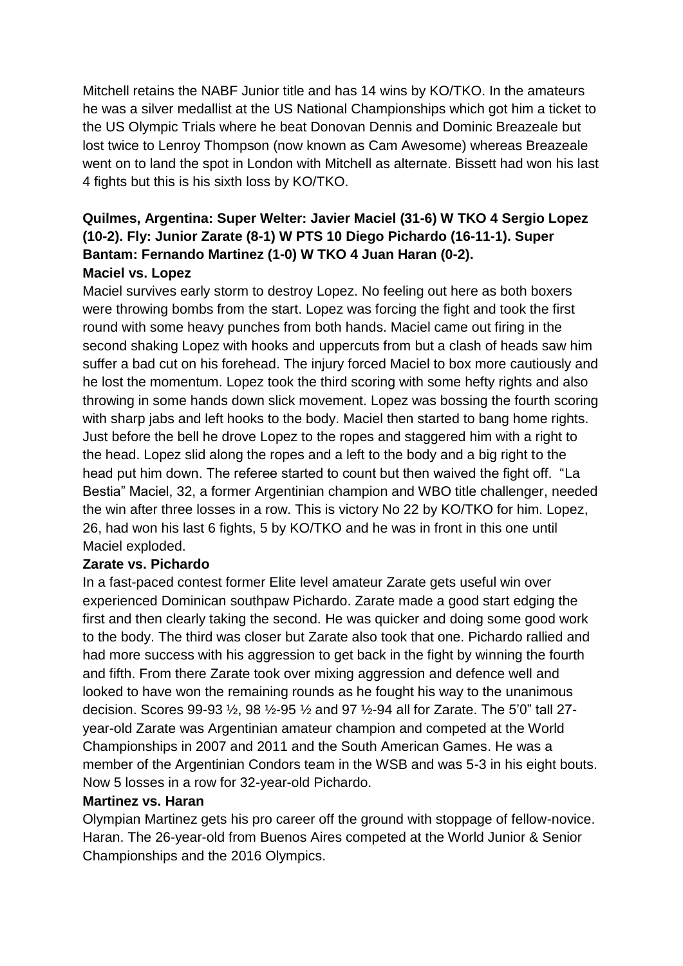Mitchell retains the NABF Junior title and has 14 wins by KO/TKO. In the amateurs he was a silver medallist at the US National Championships which got him a ticket to the US Olympic Trials where he beat Donovan Dennis and Dominic Breazeale but lost twice to Lenroy Thompson (now known as Cam Awesome) whereas Breazeale went on to land the spot in London with Mitchell as alternate. Bissett had won his last 4 fights but this is his sixth loss by KO/TKO.

# **Quilmes, Argentina: Super Welter: Javier Maciel (31-6) W TKO 4 Sergio Lopez (10-2). Fly: Junior Zarate (8-1) W PTS 10 Diego Pichardo (16-11-1). Super Bantam: Fernando Martinez (1-0) W TKO 4 Juan Haran (0-2). Maciel vs. Lopez**

Maciel survives early storm to destroy Lopez. No feeling out here as both boxers were throwing bombs from the start. Lopez was forcing the fight and took the first round with some heavy punches from both hands. Maciel came out firing in the second shaking Lopez with hooks and uppercuts from but a clash of heads saw him suffer a bad cut on his forehead. The injury forced Maciel to box more cautiously and he lost the momentum. Lopez took the third scoring with some hefty rights and also throwing in some hands down slick movement. Lopez was bossing the fourth scoring with sharp jabs and left hooks to the body. Maciel then started to bang home rights. Just before the bell he drove Lopez to the ropes and staggered him with a right to the head. Lopez slid along the ropes and a left to the body and a big right to the head put him down. The referee started to count but then waived the fight off. "La Bestia" Maciel, 32, a former Argentinian champion and WBO title challenger, needed the win after three losses in a row. This is victory No 22 by KO/TKO for him. Lopez, 26, had won his last 6 fights, 5 by KO/TKO and he was in front in this one until Maciel exploded.

## **Zarate vs. Pichardo**

In a fast-paced contest former Elite level amateur Zarate gets useful win over experienced Dominican southpaw Pichardo. Zarate made a good start edging the first and then clearly taking the second. He was quicker and doing some good work to the body. The third was closer but Zarate also took that one. Pichardo rallied and had more success with his aggression to get back in the fight by winning the fourth and fifth. From there Zarate took over mixing aggression and defence well and looked to have won the remaining rounds as he fought his way to the unanimous decision. Scores 99-93 ½, 98 ½-95 ½ and 97 ½-94 all for Zarate. The 5'0" tall 27 year-old Zarate was Argentinian amateur champion and competed at the World Championships in 2007 and 2011 and the South American Games. He was a member of the Argentinian Condors team in the WSB and was 5-3 in his eight bouts. Now 5 losses in a row for 32-year-old Pichardo.

## **Martinez vs. Haran**

Olympian Martinez gets his pro career off the ground with stoppage of fellow-novice. Haran. The 26-year-old from Buenos Aires competed at the World Junior & Senior Championships and the 2016 Olympics.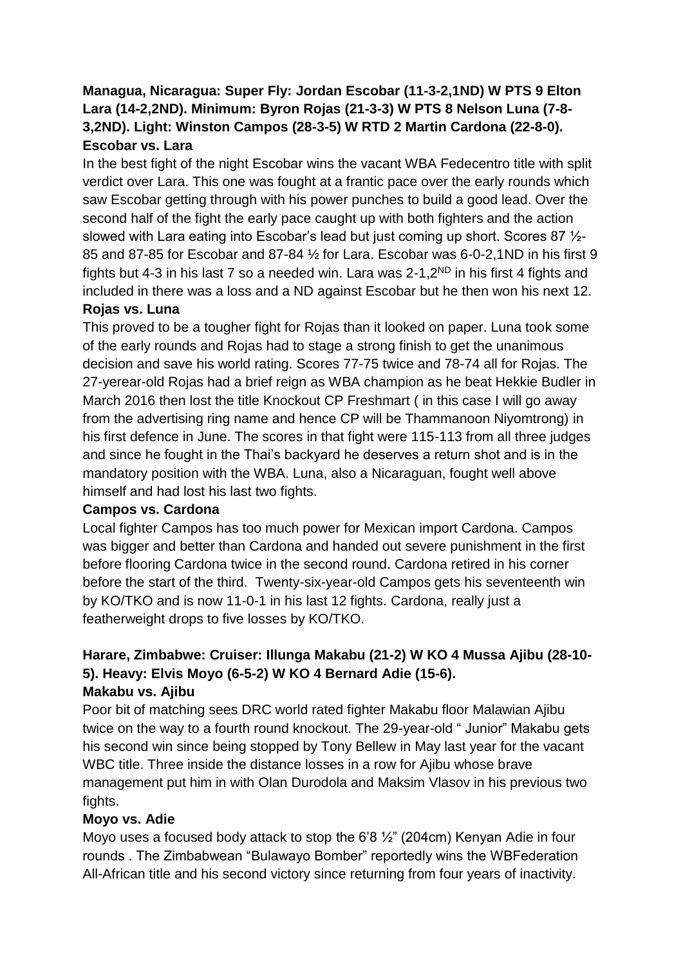# **Managua, Nicaragua: Super Fly: Jordan Escobar (11-3-2,1ND) W PTS 9 Elton Lara (14-2,2ND). Minimum: Byron Rojas (21-3-3) W PTS 8 Nelson Luna (7-8- 3,2ND). Light: Winston Campos (28-3-5) W RTD 2 Martin Cardona (22-8-0). Escobar vs. Lara**

In the best fight of the night Escobar wins the vacant WBA Fedecentro title with split verdict over Lara. This one was fought at a frantic pace over the early rounds which saw Escobar getting through with his power punches to build a good lead. Over the second half of the fight the early pace caught up with both fighters and the action slowed with Lara eating into Escobar's lead but just coming up short. Scores 87 ½- 85 and 87-85 for Escobar and 87-84 ½ for Lara. Escobar was 6-0-2,1ND in his first 9 fights but 4-3 in his last 7 so a needed win. Lara was  $2-1.2<sup>ND</sup>$  in his first 4 fights and included in there was a loss and a ND against Escobar but he then won his next 12.

## **Rojas vs. Luna**

This proved to be a tougher fight for Rojas than it looked on paper. Luna took some of the early rounds and Rojas had to stage a strong finish to get the unanimous decision and save his world rating. Scores 77-75 twice and 78-74 all for Rojas. The 27-yerear-old Rojas had a brief reign as WBA champion as he beat Hekkie Budler in March 2016 then lost the title Knockout CP Freshmart ( in this case I will go away from the advertising ring name and hence CP will be Thammanoon Niyomtrong) in his first defence in June. The scores in that fight were 115-113 from all three judges and since he fought in the Thai's backyard he deserves a return shot and is in the mandatory position with the WBA. Luna, also a Nicaraguan, fought well above himself and had lost his last two fights.

## **Campos vs. Cardona**

Local fighter Campos has too much power for Mexican import Cardona. Campos was bigger and better than Cardona and handed out severe punishment in the first before flooring Cardona twice in the second round. Cardona retired in his corner before the start of the third. Twenty-six-year-old Campos gets his seventeenth win by KO/TKO and is now 11-0-1 in his last 12 fights. Cardona, really just a featherweight drops to five losses by KO/TKO.

## **Harare, Zimbabwe: Cruiser: Illunga Makabu (21-2) W KO 4 Mussa Ajibu (28-10- 5). Heavy: Elvis Moyo (6-5-2) W KO 4 Bernard Adie (15-6). Makabu vs. Ajibu**

Poor bit of matching sees DRC world rated fighter Makabu floor Malawian Ajibu twice on the way to a fourth round knockout. The 29-year-old " Junior" Makabu gets his second win since being stopped by Tony Bellew in May last year for the vacant WBC title. Three inside the distance losses in a row for Ajibu whose brave management put him in with Olan Durodola and Maksim Vlasov in his previous two fights.

## **Moyo vs. Adie**

Moyo uses a focused body attack to stop the 6'8 ½" (204cm) Kenyan Adie in four rounds . The Zimbabwean "Bulawayo Bomber" reportedly wins the WBFederation All-African title and his second victory since returning from four years of inactivity.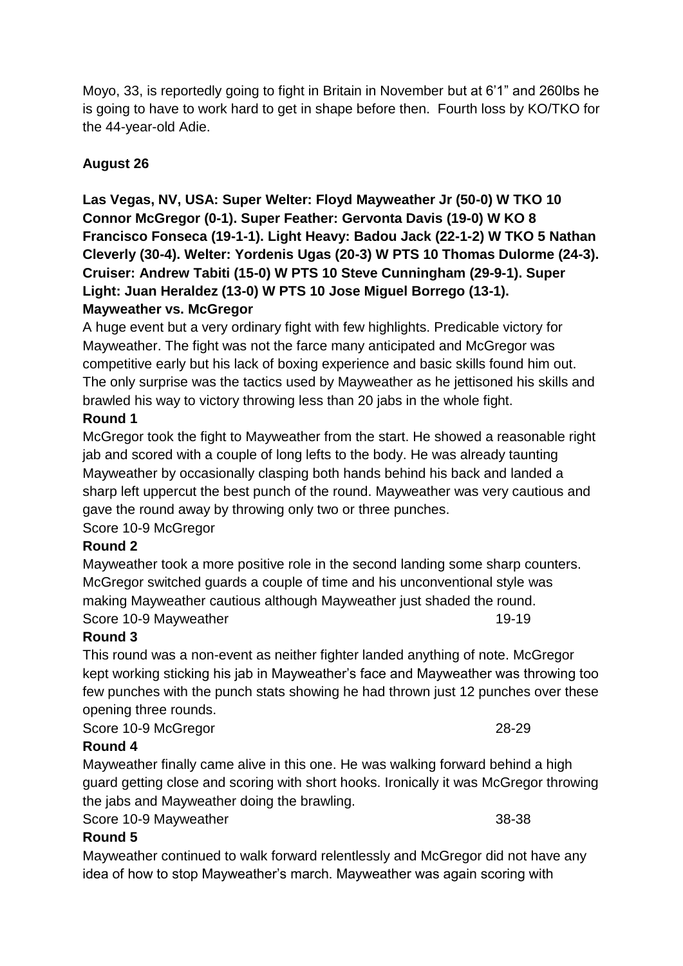Moyo, 33, is reportedly going to fight in Britain in November but at 6'1" and 260lbs he is going to have to work hard to get in shape before then. Fourth loss by KO/TKO for the 44-year-old Adie.

# **August 26**

**Las Vegas, NV, USA: Super Welter: Floyd Mayweather Jr (50-0) W TKO 10 Connor McGregor (0-1). Super Feather: Gervonta Davis (19-0) W KO 8 Francisco Fonseca (19-1-1). Light Heavy: Badou Jack (22-1-2) W TKO 5 Nathan Cleverly (30-4). Welter: Yordenis Ugas (20-3) W PTS 10 Thomas Dulorme (24-3). Cruiser: Andrew Tabiti (15-0) W PTS 10 Steve Cunningham (29-9-1). Super Light: Juan Heraldez (13-0) W PTS 10 Jose Miguel Borrego (13-1). Mayweather vs. McGregor**

A huge event but a very ordinary fight with few highlights. Predicable victory for Mayweather. The fight was not the farce many anticipated and McGregor was competitive early but his lack of boxing experience and basic skills found him out. The only surprise was the tactics used by Mayweather as he jettisoned his skills and brawled his way to victory throwing less than 20 jabs in the whole fight.

#### **Round 1**

McGregor took the fight to Mayweather from the start. He showed a reasonable right jab and scored with a couple of long lefts to the body. He was already taunting Mayweather by occasionally clasping both hands behind his back and landed a sharp left uppercut the best punch of the round. Mayweather was very cautious and gave the round away by throwing only two or three punches. Score 10-9 McGregor

#### **Round 2**

Mayweather took a more positive role in the second landing some sharp counters. McGregor switched guards a couple of time and his unconventional style was making Mayweather cautious although Mayweather just shaded the round. Score 10-9 Mayweather 19-19

#### **Round 3**

This round was a non-event as neither fighter landed anything of note. McGregor kept working sticking his jab in Mayweather's face and Mayweather was throwing too few punches with the punch stats showing he had thrown just 12 punches over these opening three rounds.

Score 10-9 McGregor 28-29

## **Round 4**

Mayweather finally came alive in this one. He was walking forward behind a high guard getting close and scoring with short hooks. Ironically it was McGregor throwing the jabs and Mayweather doing the brawling.

Score 10-9 Mayweather 38-38

## **Round 5**

Mayweather continued to walk forward relentlessly and McGregor did not have any idea of how to stop Mayweather's march. Mayweather was again scoring with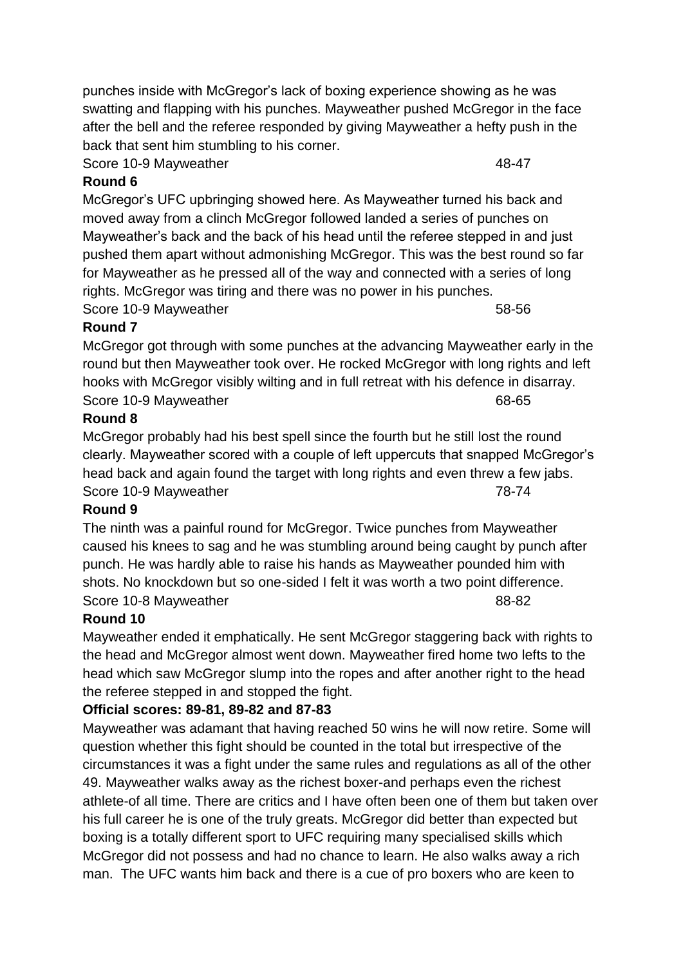punches inside with McGregor's lack of boxing experience showing as he was swatting and flapping with his punches. Mayweather pushed McGregor in the face after the bell and the referee responded by giving Mayweather a hefty push in the back that sent him stumbling to his corner.

Score 10-9 Mayweather 48-47

#### **Round 6**

McGregor's UFC upbringing showed here. As Mayweather turned his back and moved away from a clinch McGregor followed landed a series of punches on Mayweather's back and the back of his head until the referee stepped in and just pushed them apart without admonishing McGregor. This was the best round so far for Mayweather as he pressed all of the way and connected with a series of long rights. McGregor was tiring and there was no power in his punches. Score 10-9 Mayweather 58-56

#### **Round 7**

McGregor got through with some punches at the advancing Mayweather early in the round but then Mayweather took over. He rocked McGregor with long rights and left hooks with McGregor visibly wilting and in full retreat with his defence in disarray. Score 10-9 Mayweather 68-65

#### **Round 8**

McGregor probably had his best spell since the fourth but he still lost the round clearly. Mayweather scored with a couple of left uppercuts that snapped McGregor's head back and again found the target with long rights and even threw a few jabs. Score 10-9 Mayweather 78-74

#### **Round 9**

The ninth was a painful round for McGregor. Twice punches from Mayweather caused his knees to sag and he was stumbling around being caught by punch after punch. He was hardly able to raise his hands as Mayweather pounded him with shots. No knockdown but so one-sided I felt it was worth a two point difference. Score 10-8 Mayweather 88-82

#### **Round 10**

Mayweather ended it emphatically. He sent McGregor staggering back with rights to the head and McGregor almost went down. Mayweather fired home two lefts to the head which saw McGregor slump into the ropes and after another right to the head the referee stepped in and stopped the fight.

## **Official scores: 89-81, 89-82 and 87-83**

Mayweather was adamant that having reached 50 wins he will now retire. Some will question whether this fight should be counted in the total but irrespective of the circumstances it was a fight under the same rules and regulations as all of the other 49. Mayweather walks away as the richest boxer-and perhaps even the richest athlete-of all time. There are critics and I have often been one of them but taken over his full career he is one of the truly greats. McGregor did better than expected but boxing is a totally different sport to UFC requiring many specialised skills which McGregor did not possess and had no chance to learn. He also walks away a rich man. The UFC wants him back and there is a cue of pro boxers who are keen to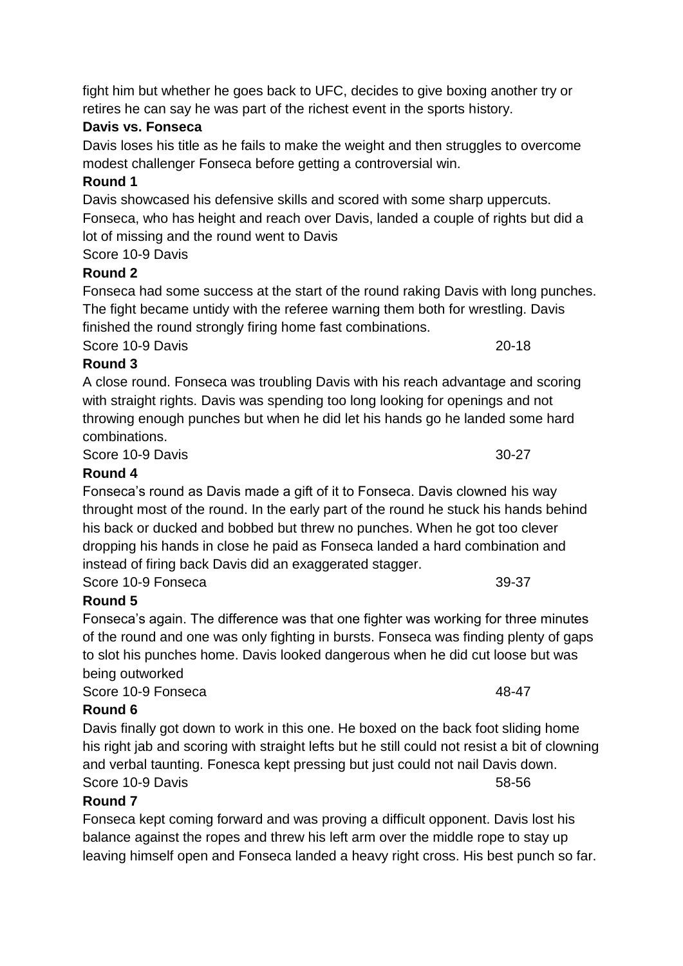# **Davis vs. Fonseca**

Davis loses his title as he fails to make the weight and then struggles to overcome modest challenger Fonseca before getting a controversial win.

# **Round 1**

Davis showcased his defensive skills and scored with some sharp uppercuts. Fonseca, who has height and reach over Davis, landed a couple of rights but did a lot of missing and the round went to Davis

# Score 10-9 Davis

# **Round 2**

Fonseca had some success at the start of the round raking Davis with long punches. The fight became untidy with the referee warning them both for wrestling. Davis finished the round strongly firing home fast combinations.

Score 10-9 Davis 20-18 **Round 3**

A close round. Fonseca was troubling Davis with his reach advantage and scoring with straight rights. Davis was spending too long looking for openings and not throwing enough punches but when he did let his hands go he landed some hard combinations.

Score 10-9 Davis 30-27

# **Round 4**

Fonseca's round as Davis made a gift of it to Fonseca. Davis clowned his way throught most of the round. In the early part of the round he stuck his hands behind his back or ducked and bobbed but threw no punches. When he got too clever dropping his hands in close he paid as Fonseca landed a hard combination and instead of firing back Davis did an exaggerated stagger.

Score 10-9 Fonseca 39-37

# **Round 5**

Fonseca's again. The difference was that one fighter was working for three minutes of the round and one was only fighting in bursts. Fonseca was finding plenty of gaps to slot his punches home. Davis looked dangerous when he did cut loose but was being outworked

Score 10-9 Fonseca 48-47

# **Round 6**

Davis finally got down to work in this one. He boxed on the back foot sliding home his right jab and scoring with straight lefts but he still could not resist a bit of clowning and verbal taunting. Fonesca kept pressing but just could not nail Davis down. Score 10-9 Davis 58-56

# **Round 7**

Fonseca kept coming forward and was proving a difficult opponent. Davis lost his balance against the ropes and threw his left arm over the middle rope to stay up leaving himself open and Fonseca landed a heavy right cross. His best punch so far.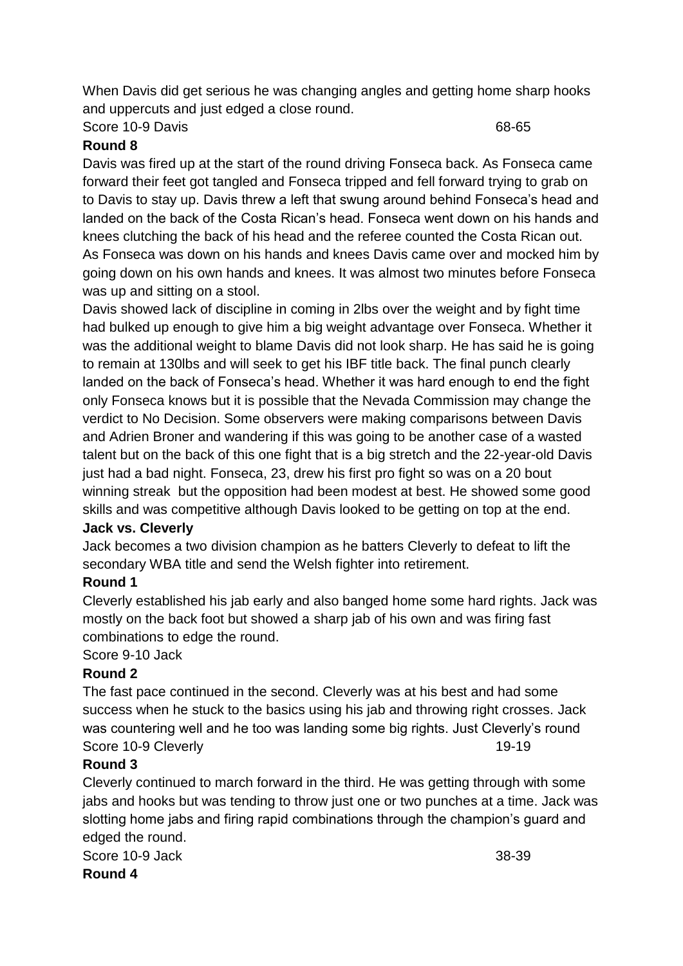When Davis did get serious he was changing angles and getting home sharp hooks and uppercuts and just edged a close round.

Score 10-9 Davis 68-65

## **Round 8**

Davis was fired up at the start of the round driving Fonseca back. As Fonseca came forward their feet got tangled and Fonseca tripped and fell forward trying to grab on to Davis to stay up. Davis threw a left that swung around behind Fonseca's head and landed on the back of the Costa Rican's head. Fonseca went down on his hands and knees clutching the back of his head and the referee counted the Costa Rican out. As Fonseca was down on his hands and knees Davis came over and mocked him by going down on his own hands and knees. It was almost two minutes before Fonseca was up and sitting on a stool.

Davis showed lack of discipline in coming in 2lbs over the weight and by fight time had bulked up enough to give him a big weight advantage over Fonseca. Whether it was the additional weight to blame Davis did not look sharp. He has said he is going to remain at 130lbs and will seek to get his IBF title back. The final punch clearly landed on the back of Fonseca's head. Whether it was hard enough to end the fight only Fonseca knows but it is possible that the Nevada Commission may change the verdict to No Decision. Some observers were making comparisons between Davis and Adrien Broner and wandering if this was going to be another case of a wasted talent but on the back of this one fight that is a big stretch and the 22-year-old Davis just had a bad night. Fonseca, 23, drew his first pro fight so was on a 20 bout winning streak but the opposition had been modest at best. He showed some good skills and was competitive although Davis looked to be getting on top at the end.

## **Jack vs. Cleverly**

Jack becomes a two division champion as he batters Cleverly to defeat to lift the secondary WBA title and send the Welsh fighter into retirement.

## **Round 1**

Cleverly established his jab early and also banged home some hard rights. Jack was mostly on the back foot but showed a sharp jab of his own and was firing fast combinations to edge the round.

## Score 9-10 Jack

## **Round 2**

The fast pace continued in the second. Cleverly was at his best and had some success when he stuck to the basics using his jab and throwing right crosses. Jack was countering well and he too was landing some big rights. Just Cleverly's round Score 10-9 Cleverly 19-19

## **Round 3**

Cleverly continued to march forward in the third. He was getting through with some jabs and hooks but was tending to throw just one or two punches at a time. Jack was slotting home jabs and firing rapid combinations through the champion's guard and edged the round.

Score 10-9 Jack 38-39 **Round 4**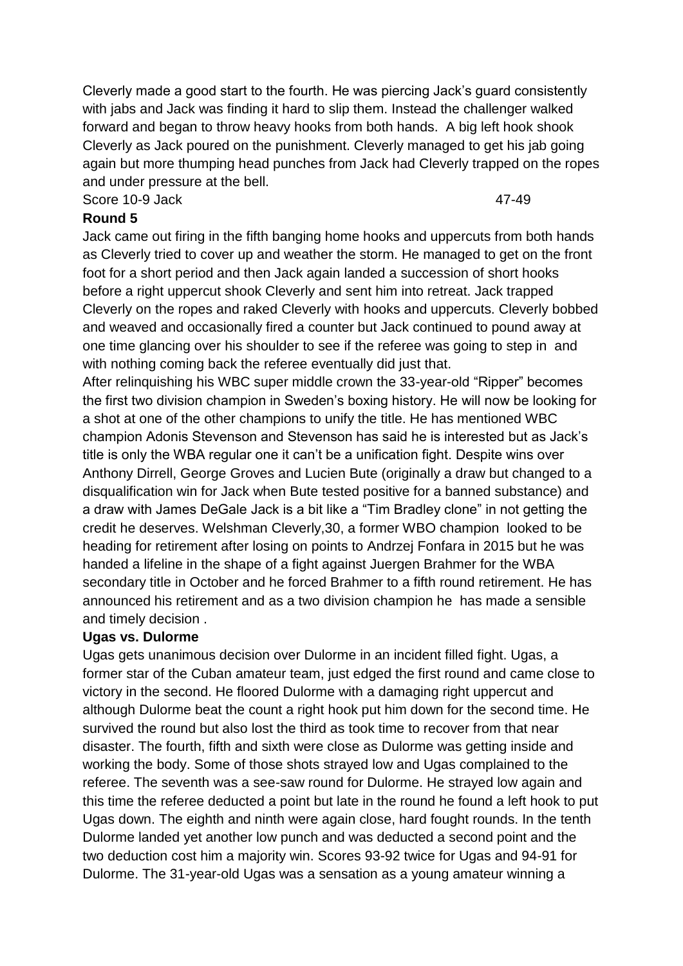Cleverly made a good start to the fourth. He was piercing Jack's guard consistently with jabs and Jack was finding it hard to slip them. Instead the challenger walked forward and began to throw heavy hooks from both hands. A big left hook shook Cleverly as Jack poured on the punishment. Cleverly managed to get his jab going again but more thumping head punches from Jack had Cleverly trapped on the ropes and under pressure at the bell.

Score 10-9 Jack 47-49

#### **Round 5**

Jack came out firing in the fifth banging home hooks and uppercuts from both hands as Cleverly tried to cover up and weather the storm. He managed to get on the front foot for a short period and then Jack again landed a succession of short hooks before a right uppercut shook Cleverly and sent him into retreat. Jack trapped Cleverly on the ropes and raked Cleverly with hooks and uppercuts. Cleverly bobbed and weaved and occasionally fired a counter but Jack continued to pound away at one time glancing over his shoulder to see if the referee was going to step in and with nothing coming back the referee eventually did just that.

After relinquishing his WBC super middle crown the 33-year-old "Ripper" becomes the first two division champion in Sweden's boxing history. He will now be looking for a shot at one of the other champions to unify the title. He has mentioned WBC champion Adonis Stevenson and Stevenson has said he is interested but as Jack's title is only the WBA regular one it can't be a unification fight. Despite wins over Anthony Dirrell, George Groves and Lucien Bute (originally a draw but changed to a disqualification win for Jack when Bute tested positive for a banned substance) and a draw with James DeGale Jack is a bit like a "Tim Bradley clone" in not getting the credit he deserves. Welshman Cleverly,30, a former WBO champion looked to be heading for retirement after losing on points to Andrzej Fonfara in 2015 but he was handed a lifeline in the shape of a fight against Juergen Brahmer for the WBA secondary title in October and he forced Brahmer to a fifth round retirement. He has announced his retirement and as a two division champion he has made a sensible and timely decision .

#### **Ugas vs. Dulorme**

Ugas gets unanimous decision over Dulorme in an incident filled fight. Ugas, a former star of the Cuban amateur team, just edged the first round and came close to victory in the second. He floored Dulorme with a damaging right uppercut and although Dulorme beat the count a right hook put him down for the second time. He survived the round but also lost the third as took time to recover from that near disaster. The fourth, fifth and sixth were close as Dulorme was getting inside and working the body. Some of those shots strayed low and Ugas complained to the referee. The seventh was a see-saw round for Dulorme. He strayed low again and this time the referee deducted a point but late in the round he found a left hook to put Ugas down. The eighth and ninth were again close, hard fought rounds. In the tenth Dulorme landed yet another low punch and was deducted a second point and the two deduction cost him a majority win. Scores 93-92 twice for Ugas and 94-91 for Dulorme. The 31-year-old Ugas was a sensation as a young amateur winning a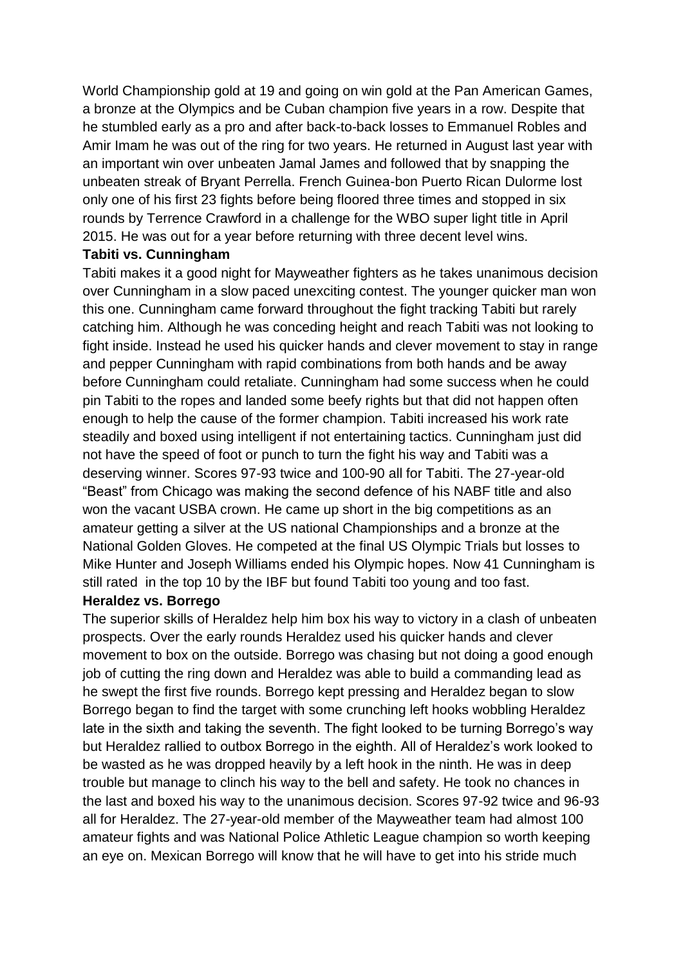World Championship gold at 19 and going on win gold at the Pan American Games, a bronze at the Olympics and be Cuban champion five years in a row. Despite that he stumbled early as a pro and after back-to-back losses to Emmanuel Robles and Amir Imam he was out of the ring for two years. He returned in August last year with an important win over unbeaten Jamal James and followed that by snapping the unbeaten streak of Bryant Perrella. French Guinea-bon Puerto Rican Dulorme lost only one of his first 23 fights before being floored three times and stopped in six rounds by Terrence Crawford in a challenge for the WBO super light title in April 2015. He was out for a year before returning with three decent level wins.

#### **Tabiti vs. Cunningham**

Tabiti makes it a good night for Mayweather fighters as he takes unanimous decision over Cunningham in a slow paced unexciting contest. The younger quicker man won this one. Cunningham came forward throughout the fight tracking Tabiti but rarely catching him. Although he was conceding height and reach Tabiti was not looking to fight inside. Instead he used his quicker hands and clever movement to stay in range and pepper Cunningham with rapid combinations from both hands and be away before Cunningham could retaliate. Cunningham had some success when he could pin Tabiti to the ropes and landed some beefy rights but that did not happen often enough to help the cause of the former champion. Tabiti increased his work rate steadily and boxed using intelligent if not entertaining tactics. Cunningham just did not have the speed of foot or punch to turn the fight his way and Tabiti was a deserving winner. Scores 97-93 twice and 100-90 all for Tabiti. The 27-year-old "Beast" from Chicago was making the second defence of his NABF title and also won the vacant USBA crown. He came up short in the big competitions as an amateur getting a silver at the US national Championships and a bronze at the National Golden Gloves. He competed at the final US Olympic Trials but losses to Mike Hunter and Joseph Williams ended his Olympic hopes. Now 41 Cunningham is still rated in the top 10 by the IBF but found Tabiti too young and too fast.

## **Heraldez vs. Borrego**

The superior skills of Heraldez help him box his way to victory in a clash of unbeaten prospects. Over the early rounds Heraldez used his quicker hands and clever movement to box on the outside. Borrego was chasing but not doing a good enough job of cutting the ring down and Heraldez was able to build a commanding lead as he swept the first five rounds. Borrego kept pressing and Heraldez began to slow Borrego began to find the target with some crunching left hooks wobbling Heraldez late in the sixth and taking the seventh. The fight looked to be turning Borrego's way but Heraldez rallied to outbox Borrego in the eighth. All of Heraldez's work looked to be wasted as he was dropped heavily by a left hook in the ninth. He was in deep trouble but manage to clinch his way to the bell and safety. He took no chances in the last and boxed his way to the unanimous decision. Scores 97-92 twice and 96-93 all for Heraldez. The 27-year-old member of the Mayweather team had almost 100 amateur fights and was National Police Athletic League champion so worth keeping an eye on. Mexican Borrego will know that he will have to get into his stride much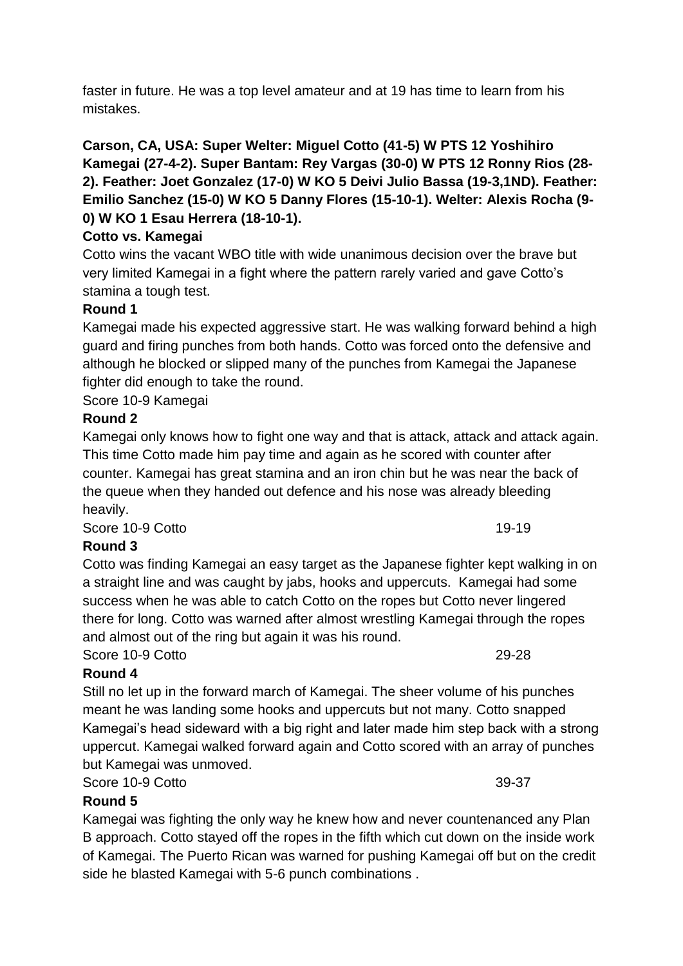faster in future. He was a top level amateur and at 19 has time to learn from his mistakes.

# **Carson, CA, USA: Super Welter: Miguel Cotto (41-5) W PTS 12 Yoshihiro Kamegai (27-4-2). Super Bantam: Rey Vargas (30-0) W PTS 12 Ronny Rios (28- 2). Feather: Joet Gonzalez (17-0) W KO 5 Deivi Julio Bassa (19-3,1ND). Feather: Emilio Sanchez (15-0) W KO 5 Danny Flores (15-10-1). Welter: Alexis Rocha (9- 0) W KO 1 Esau Herrera (18-10-1).**

# **Cotto vs. Kamegai**

Cotto wins the vacant WBO title with wide unanimous decision over the brave but very limited Kamegai in a fight where the pattern rarely varied and gave Cotto's stamina a tough test.

# **Round 1**

Kamegai made his expected aggressive start. He was walking forward behind a high guard and firing punches from both hands. Cotto was forced onto the defensive and although he blocked or slipped many of the punches from Kamegai the Japanese fighter did enough to take the round.

Score 10-9 Kamegai

# **Round 2**

Kamegai only knows how to fight one way and that is attack, attack and attack again. This time Cotto made him pay time and again as he scored with counter after counter. Kamegai has great stamina and an iron chin but he was near the back of the queue when they handed out defence and his nose was already bleeding heavily.

Score 10-9 Cotto 19:00 and 19:00 19:00 19:00 19:00 19:00 19:00 19:00 19:00 19:00 19:00 19:00 19:00 19:00 19:00

# **Round 3**

Cotto was finding Kamegai an easy target as the Japanese fighter kept walking in on a straight line and was caught by jabs, hooks and uppercuts. Kamegai had some success when he was able to catch Cotto on the ropes but Cotto never lingered there for long. Cotto was warned after almost wrestling Kamegai through the ropes and almost out of the ring but again it was his round.

Score 10-9 Cotto 29-28

# **Round 4**

Still no let up in the forward march of Kamegai. The sheer volume of his punches meant he was landing some hooks and uppercuts but not many. Cotto snapped Kamegai's head sideward with a big right and later made him step back with a strong uppercut. Kamegai walked forward again and Cotto scored with an array of punches but Kamegai was unmoved.

# Score 10-9 Cotto 39-37

# **Round 5**

Kamegai was fighting the only way he knew how and never countenanced any Plan B approach. Cotto stayed off the ropes in the fifth which cut down on the inside work of Kamegai. The Puerto Rican was warned for pushing Kamegai off but on the credit side he blasted Kamegai with 5-6 punch combinations .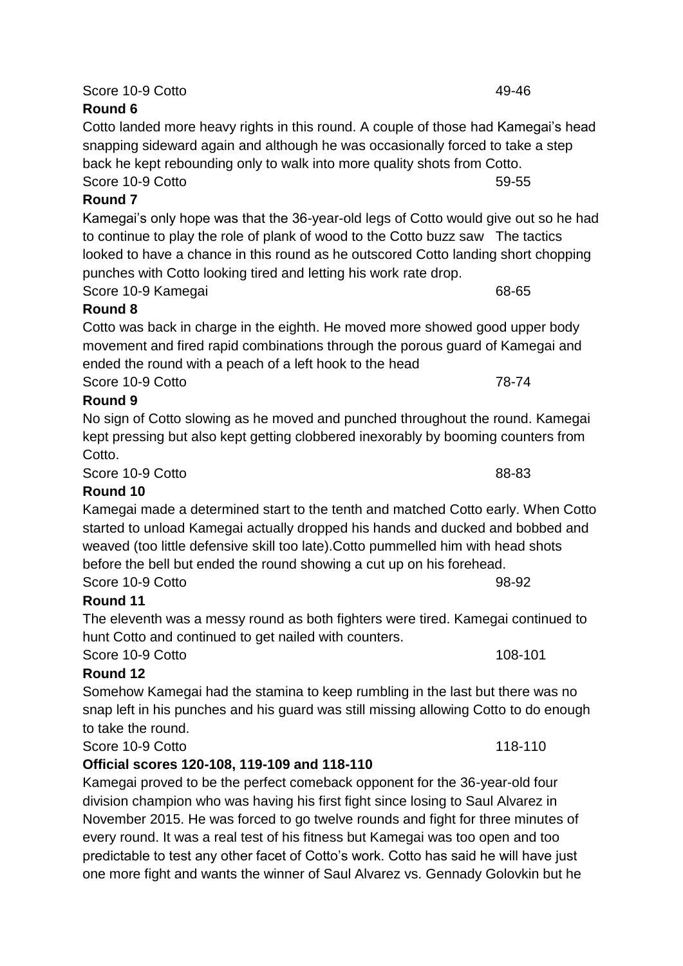| back he kept rebounding only to walk into more quality shots from Cotto.                                                                               |       |
|--------------------------------------------------------------------------------------------------------------------------------------------------------|-------|
| Score 10-9 Cotto                                                                                                                                       | 59-55 |
| Round 7                                                                                                                                                |       |
| Kamegai's only hope was that the 36-year-old legs of Cotto would give out so he had                                                                    |       |
| to continue to play the role of plank of wood to the Cotto buzz saw The tactics                                                                        |       |
| looked to have a chance in this round as he outscored Cotto landing short chopping<br>punches with Cotto looking tired and letting his work rate drop. |       |
| Score 10-9 Kamegai                                                                                                                                     | 68-65 |
| Round 8                                                                                                                                                |       |
| Cotto was back in charge in the eighth. He moved more showed good upper body                                                                           |       |

movement and fired rapid combinations through the porous guard of Kamegai and ended the round with a peach of a left hook to the head Score 10-9 Cotto **78-74** 

No sign of Cotto slowing as he moved and punched throughout the round. Kamegai kept pressing but also kept getting clobbered inexorably by booming counters from Cotto.

**Round 10** Kamegai made a determined start to the tenth and matched Cotto early. When Cotto started to unload Kamegai actually dropped his hands and ducked and bobbed and weaved (too little defensive skill too late).Cotto pummelled him with head shots

Score 10-9 Cotto 98-92 **Round 11** The eleventh was a messy round as both fighters were tired. Kamegai continued to

hunt Cotto and continued to get nailed with counters. Score 10-9 Cotto 108-101

**Round 12** Somehow Kamegai had the stamina to keep rumbling in the last but there was no snap left in his punches and his guard was still missing allowing Cotto to do enough to take the round.

Score 10-9 Cotto 118-110

# **Official scores 120-108, 119-109 and 118-110**

Kamegai proved to be the perfect comeback opponent for the 36-year-old four division champion who was having his first fight since losing to Saul Alvarez in November 2015. He was forced to go twelve rounds and fight for three minutes of every round. It was a real test of his fitness but Kamegai was too open and too predictable to test any other facet of Cotto's work. Cotto has said he will have just one more fight and wants the winner of Saul Alvarez vs. Gennady Golovkin but he

**Round 9**

Score 10-9 Cotto 88-83

**Round 6**

before the bell but ended the round showing a cut up on his forehead.

Cotto landed more heavy rights in this round. A couple of those had Kamegai's head snapping sideward again and although he was occasionally forced to take a step

Score 10-9 Cotto **49-46**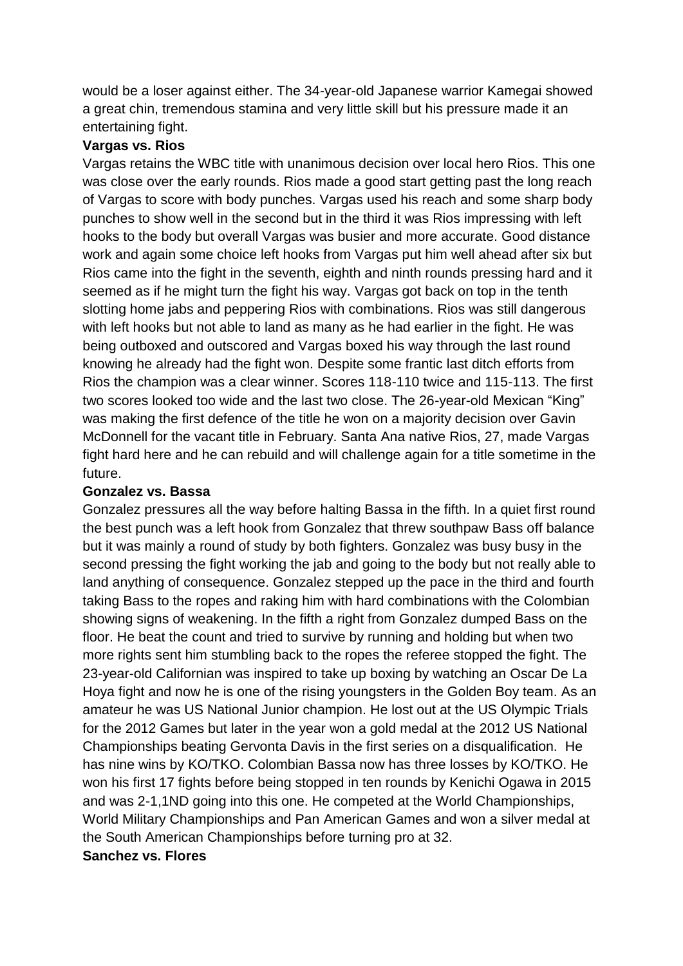would be a loser against either. The 34-year-old Japanese warrior Kamegai showed a great chin, tremendous stamina and very little skill but his pressure made it an entertaining fight.

#### **Vargas vs. Rios**

Vargas retains the WBC title with unanimous decision over local hero Rios. This one was close over the early rounds. Rios made a good start getting past the long reach of Vargas to score with body punches. Vargas used his reach and some sharp body punches to show well in the second but in the third it was Rios impressing with left hooks to the body but overall Vargas was busier and more accurate. Good distance work and again some choice left hooks from Vargas put him well ahead after six but Rios came into the fight in the seventh, eighth and ninth rounds pressing hard and it seemed as if he might turn the fight his way. Vargas got back on top in the tenth slotting home jabs and peppering Rios with combinations. Rios was still dangerous with left hooks but not able to land as many as he had earlier in the fight. He was being outboxed and outscored and Vargas boxed his way through the last round knowing he already had the fight won. Despite some frantic last ditch efforts from Rios the champion was a clear winner. Scores 118-110 twice and 115-113. The first two scores looked too wide and the last two close. The 26-year-old Mexican "King" was making the first defence of the title he won on a majority decision over Gavin McDonnell for the vacant title in February. Santa Ana native Rios, 27, made Vargas fight hard here and he can rebuild and will challenge again for a title sometime in the future.

## **Gonzalez vs. Bassa**

Gonzalez pressures all the way before halting Bassa in the fifth. In a quiet first round the best punch was a left hook from Gonzalez that threw southpaw Bass off balance but it was mainly a round of study by both fighters. Gonzalez was busy busy in the second pressing the fight working the jab and going to the body but not really able to land anything of consequence. Gonzalez stepped up the pace in the third and fourth taking Bass to the ropes and raking him with hard combinations with the Colombian showing signs of weakening. In the fifth a right from Gonzalez dumped Bass on the floor. He beat the count and tried to survive by running and holding but when two more rights sent him stumbling back to the ropes the referee stopped the fight. The 23-year-old Californian was inspired to take up boxing by watching an Oscar De La Hoya fight and now he is one of the rising youngsters in the Golden Boy team. As an amateur he was US National Junior champion. He lost out at the US Olympic Trials for the 2012 Games but later in the year won a gold medal at the 2012 US National Championships beating Gervonta Davis in the first series on a disqualification. He has nine wins by KO/TKO. Colombian Bassa now has three losses by KO/TKO. He won his first 17 fights before being stopped in ten rounds by Kenichi Ogawa in 2015 and was 2-1,1ND going into this one. He competed at the World Championships, World Military Championships and Pan American Games and won a silver medal at the South American Championships before turning pro at 32.

#### **Sanchez vs. Flores**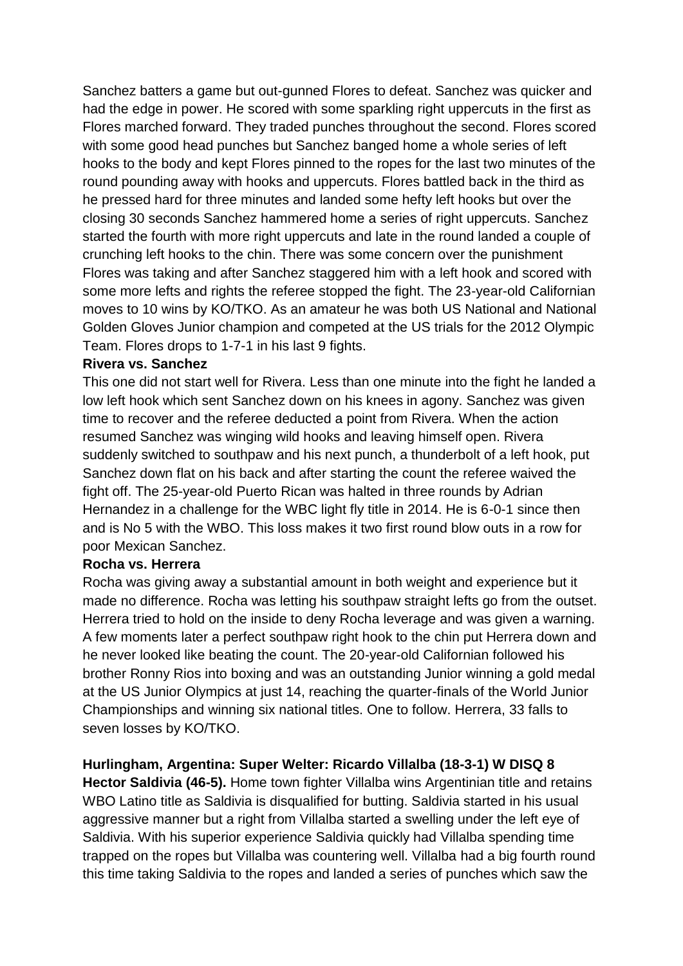Sanchez batters a game but out-gunned Flores to defeat. Sanchez was quicker and had the edge in power. He scored with some sparkling right uppercuts in the first as Flores marched forward. They traded punches throughout the second. Flores scored with some good head punches but Sanchez banged home a whole series of left hooks to the body and kept Flores pinned to the ropes for the last two minutes of the round pounding away with hooks and uppercuts. Flores battled back in the third as he pressed hard for three minutes and landed some hefty left hooks but over the closing 30 seconds Sanchez hammered home a series of right uppercuts. Sanchez started the fourth with more right uppercuts and late in the round landed a couple of crunching left hooks to the chin. There was some concern over the punishment Flores was taking and after Sanchez staggered him with a left hook and scored with some more lefts and rights the referee stopped the fight. The 23-year-old Californian moves to 10 wins by KO/TKO. As an amateur he was both US National and National Golden Gloves Junior champion and competed at the US trials for the 2012 Olympic Team. Flores drops to 1-7-1 in his last 9 fights.

#### **Rivera vs. Sanchez**

This one did not start well for Rivera. Less than one minute into the fight he landed a low left hook which sent Sanchez down on his knees in agony. Sanchez was given time to recover and the referee deducted a point from Rivera. When the action resumed Sanchez was winging wild hooks and leaving himself open. Rivera suddenly switched to southpaw and his next punch, a thunderbolt of a left hook, put Sanchez down flat on his back and after starting the count the referee waived the fight off. The 25-year-old Puerto Rican was halted in three rounds by Adrian Hernandez in a challenge for the WBC light fly title in 2014. He is 6-0-1 since then and is No 5 with the WBO. This loss makes it two first round blow outs in a row for poor Mexican Sanchez.

#### **Rocha vs. Herrera**

Rocha was giving away a substantial amount in both weight and experience but it made no difference. Rocha was letting his southpaw straight lefts go from the outset. Herrera tried to hold on the inside to deny Rocha leverage and was given a warning. A few moments later a perfect southpaw right hook to the chin put Herrera down and he never looked like beating the count. The 20-year-old Californian followed his brother Ronny Rios into boxing and was an outstanding Junior winning a gold medal at the US Junior Olympics at just 14, reaching the quarter-finals of the World Junior Championships and winning six national titles. One to follow. Herrera, 33 falls to seven losses by KO/TKO.

#### **Hurlingham, Argentina: Super Welter: Ricardo Villalba (18-3-1) W DISQ 8**

**Hector Saldivia (46-5).** Home town fighter Villalba wins Argentinian title and retains WBO Latino title as Saldivia is disqualified for butting. Saldivia started in his usual aggressive manner but a right from Villalba started a swelling under the left eye of Saldivia. With his superior experience Saldivia quickly had Villalba spending time trapped on the ropes but Villalba was countering well. Villalba had a big fourth round this time taking Saldivia to the ropes and landed a series of punches which saw the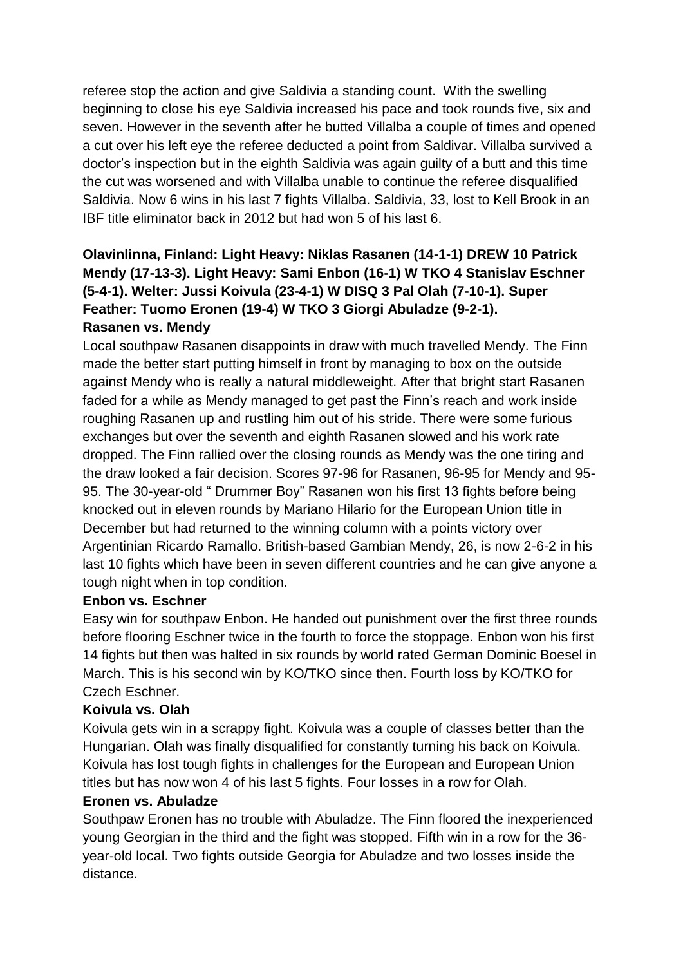referee stop the action and give Saldivia a standing count. With the swelling beginning to close his eye Saldivia increased his pace and took rounds five, six and seven. However in the seventh after he butted Villalba a couple of times and opened a cut over his left eye the referee deducted a point from Saldivar. Villalba survived a doctor's inspection but in the eighth Saldivia was again guilty of a butt and this time the cut was worsened and with Villalba unable to continue the referee disqualified Saldivia. Now 6 wins in his last 7 fights Villalba. Saldivia, 33, lost to Kell Brook in an IBF title eliminator back in 2012 but had won 5 of his last 6.

# **Olavinlinna, Finland: Light Heavy: Niklas Rasanen (14-1-1) DREW 10 Patrick Mendy (17-13-3). Light Heavy: Sami Enbon (16-1) W TKO 4 Stanislav Eschner (5-4-1). Welter: Jussi Koivula (23-4-1) W DISQ 3 Pal Olah (7-10-1). Super Feather: Tuomo Eronen (19-4) W TKO 3 Giorgi Abuladze (9-2-1). Rasanen vs. Mendy**

Local southpaw Rasanen disappoints in draw with much travelled Mendy. The Finn made the better start putting himself in front by managing to box on the outside against Mendy who is really a natural middleweight. After that bright start Rasanen faded for a while as Mendy managed to get past the Finn's reach and work inside roughing Rasanen up and rustling him out of his stride. There were some furious exchanges but over the seventh and eighth Rasanen slowed and his work rate dropped. The Finn rallied over the closing rounds as Mendy was the one tiring and the draw looked a fair decision. Scores 97-96 for Rasanen, 96-95 for Mendy and 95- 95. The 30-year-old " Drummer Boy" Rasanen won his first 13 fights before being knocked out in eleven rounds by Mariano Hilario for the European Union title in December but had returned to the winning column with a points victory over Argentinian Ricardo Ramallo. British-based Gambian Mendy, 26, is now 2-6-2 in his last 10 fights which have been in seven different countries and he can give anyone a tough night when in top condition.

## **Enbon vs. Eschner**

Easy win for southpaw Enbon. He handed out punishment over the first three rounds before flooring Eschner twice in the fourth to force the stoppage. Enbon won his first 14 fights but then was halted in six rounds by world rated German Dominic Boesel in March. This is his second win by KO/TKO since then. Fourth loss by KO/TKO for Czech Eschner.

## **Koivula vs. Olah**

Koivula gets win in a scrappy fight. Koivula was a couple of classes better than the Hungarian. Olah was finally disqualified for constantly turning his back on Koivula. Koivula has lost tough fights in challenges for the European and European Union titles but has now won 4 of his last 5 fights. Four losses in a row for Olah.

## **Eronen vs. Abuladze**

Southpaw Eronen has no trouble with Abuladze. The Finn floored the inexperienced young Georgian in the third and the fight was stopped. Fifth win in a row for the 36 year-old local. Two fights outside Georgia for Abuladze and two losses inside the distance.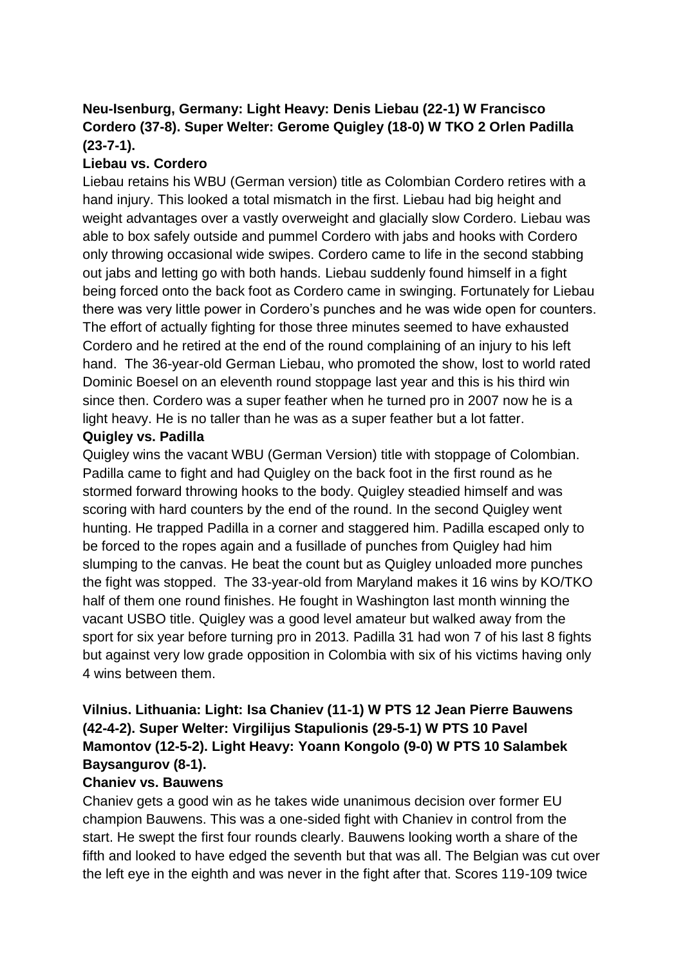# **Neu-Isenburg, Germany: Light Heavy: Denis Liebau (22-1) W Francisco Cordero (37-8). Super Welter: Gerome Quigley (18-0) W TKO 2 Orlen Padilla (23-7-1).**

## **Liebau vs. Cordero**

Liebau retains his WBU (German version) title as Colombian Cordero retires with a hand injury. This looked a total mismatch in the first. Liebau had big height and weight advantages over a vastly overweight and glacially slow Cordero. Liebau was able to box safely outside and pummel Cordero with jabs and hooks with Cordero only throwing occasional wide swipes. Cordero came to life in the second stabbing out jabs and letting go with both hands. Liebau suddenly found himself in a fight being forced onto the back foot as Cordero came in swinging. Fortunately for Liebau there was very little power in Cordero's punches and he was wide open for counters. The effort of actually fighting for those three minutes seemed to have exhausted Cordero and he retired at the end of the round complaining of an injury to his left hand. The 36-year-old German Liebau, who promoted the show, lost to world rated Dominic Boesel on an eleventh round stoppage last year and this is his third win since then. Cordero was a super feather when he turned pro in 2007 now he is a light heavy. He is no taller than he was as a super feather but a lot fatter.

#### **Quigley vs. Padilla**

Quigley wins the vacant WBU (German Version) title with stoppage of Colombian. Padilla came to fight and had Quigley on the back foot in the first round as he stormed forward throwing hooks to the body. Quigley steadied himself and was scoring with hard counters by the end of the round. In the second Quigley went hunting. He trapped Padilla in a corner and staggered him. Padilla escaped only to be forced to the ropes again and a fusillade of punches from Quigley had him slumping to the canvas. He beat the count but as Quigley unloaded more punches the fight was stopped. The 33-year-old from Maryland makes it 16 wins by KO/TKO half of them one round finishes. He fought in Washington last month winning the vacant USBO title. Quigley was a good level amateur but walked away from the sport for six year before turning pro in 2013. Padilla 31 had won 7 of his last 8 fights but against very low grade opposition in Colombia with six of his victims having only 4 wins between them.

# **Vilnius. Lithuania: Light: Isa Chaniev (11-1) W PTS 12 Jean Pierre Bauwens (42-4-2). Super Welter: Virgilijus Stapulionis (29-5-1) W PTS 10 Pavel Mamontov (12-5-2). Light Heavy: Yoann Kongolo (9-0) W PTS 10 Salambek Baysangurov (8-1).**

## **Chaniev vs. Bauwens**

Chaniev gets a good win as he takes wide unanimous decision over former EU champion Bauwens. This was a one-sided fight with Chaniev in control from the start. He swept the first four rounds clearly. Bauwens looking worth a share of the fifth and looked to have edged the seventh but that was all. The Belgian was cut over the left eye in the eighth and was never in the fight after that. Scores 119-109 twice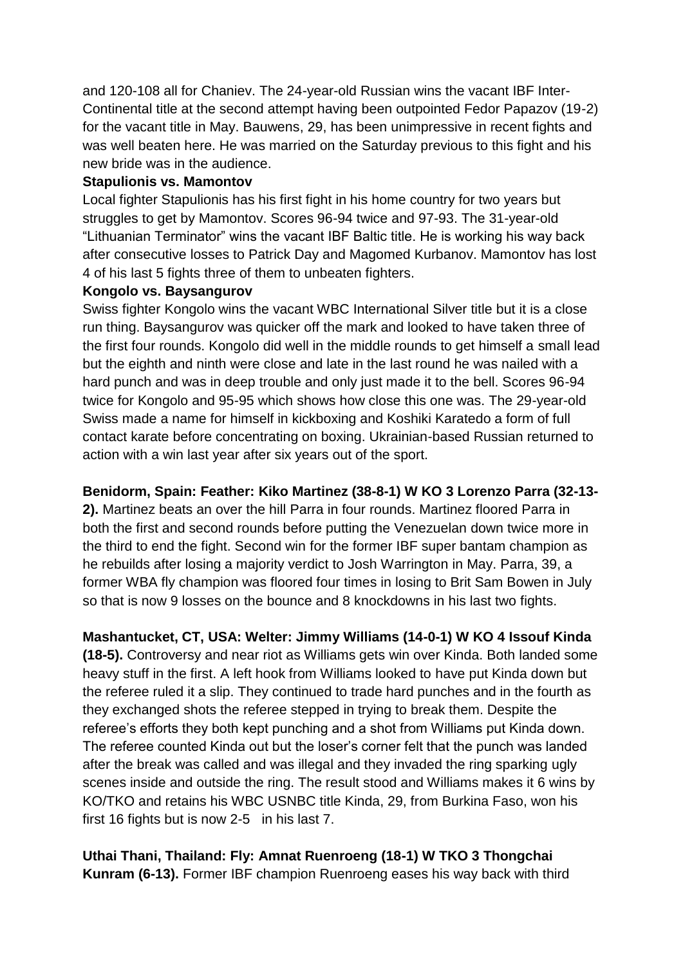and 120-108 all for Chaniev. The 24-year-old Russian wins the vacant IBF Inter-Continental title at the second attempt having been outpointed Fedor Papazov (19-2) for the vacant title in May. Bauwens, 29, has been unimpressive in recent fights and was well beaten here. He was married on the Saturday previous to this fight and his new bride was in the audience.

#### **Stapulionis vs. Mamontov**

Local fighter Stapulionis has his first fight in his home country for two years but struggles to get by Mamontov. Scores 96-94 twice and 97-93. The 31-year-old "Lithuanian Terminator" wins the vacant IBF Baltic title. He is working his way back after consecutive losses to Patrick Day and Magomed Kurbanov. Mamontov has lost 4 of his last 5 fights three of them to unbeaten fighters.

#### **Kongolo vs. Baysangurov**

Swiss fighter Kongolo wins the vacant WBC International Silver title but it is a close run thing. Baysangurov was quicker off the mark and looked to have taken three of the first four rounds. Kongolo did well in the middle rounds to get himself a small lead but the eighth and ninth were close and late in the last round he was nailed with a hard punch and was in deep trouble and only just made it to the bell. Scores 96-94 twice for Kongolo and 95-95 which shows how close this one was. The 29-year-old Swiss made a name for himself in kickboxing and Koshiki Karatedo a form of full contact karate before concentrating on boxing. Ukrainian-based Russian returned to action with a win last year after six years out of the sport.

## **Benidorm, Spain: Feather: Kiko Martinez (38-8-1) W KO 3 Lorenzo Parra (32-13-**

**2).** Martinez beats an over the hill Parra in four rounds. Martinez floored Parra in both the first and second rounds before putting the Venezuelan down twice more in the third to end the fight. Second win for the former IBF super bantam champion as he rebuilds after losing a majority verdict to Josh Warrington in May. Parra, 39, a former WBA fly champion was floored four times in losing to Brit Sam Bowen in July so that is now 9 losses on the bounce and 8 knockdowns in his last two fights.

## **Mashantucket, CT, USA: Welter: Jimmy Williams (14-0-1) W KO 4 Issouf Kinda**

**(18-5).** Controversy and near riot as Williams gets win over Kinda. Both landed some heavy stuff in the first. A left hook from Williams looked to have put Kinda down but the referee ruled it a slip. They continued to trade hard punches and in the fourth as they exchanged shots the referee stepped in trying to break them. Despite the referee's efforts they both kept punching and a shot from Williams put Kinda down. The referee counted Kinda out but the loser's corner felt that the punch was landed after the break was called and was illegal and they invaded the ring sparking ugly scenes inside and outside the ring. The result stood and Williams makes it 6 wins by KO/TKO and retains his WBC USNBC title Kinda, 29, from Burkina Faso, won his first 16 fights but is now 2-5 in his last 7.

## **Uthai Thani, Thailand: Fly: Amnat Ruenroeng (18-1) W TKO 3 Thongchai Kunram (6-13).** Former IBF champion Ruenroeng eases his way back with third